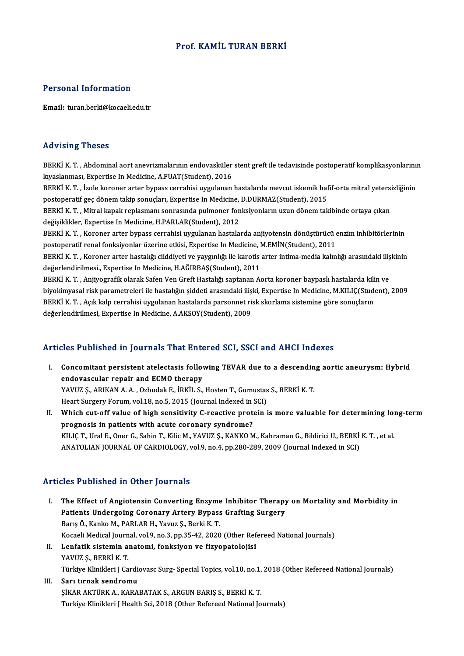## Prof. KAMİL TURAN BERKİ

#### Personal Information

Email: turan.berki@kocaeli.edu.tr

#### Advising Theses

Advising Theses<br>BERKİ K. T. , Abdominal aort anevrizmalarının endovasküler stent greft ile tedavisinde postoperatif komplikasyonlarının<br>kunalanması, Evnertice In Medicine, A EUAT(Student), 2016 kıya visining in noode<br>BERKİ K. T. , Abdominal aort anevrizmalarının endovasküler<br>kıyaslanması, Expertise In Medicine, A.FUAT(Student), 2016<br>PERKİ K. T. İrola koronor artar bunass sarrabisi uygularan BERKİ K. T. , Abdominal aort anevrizmalarının endovasküler stent greft ile tedavisinde postoperatif komplikasyonlarını<br>kıyaslanması, Expertise In Medicine, A.FUAT(Student), 2016<br>BERKİ K. T. , İzole koroner arter bypass cer kıyaslanması, Expertise In Medicine, A.FUAT(Student), 2016<br>BERKİ K. T. , İzole koroner arter bypass cerrahisi uygulanan hastalarda mevcut iskemik haf<br>postoperatif geç dönem takip sonuçları, Expertise In Medicine, D.DURMAZ( BERKİ K. T. , İzole koroner arter bypass cerrahisi uygulanan hastalarda mevcut iskemik hafif-orta mitral yetersizliğinin<br>postoperatif geç dönem takip sonuçları, Expertise In Medicine, D.DURMAZ(Student), 2015<br>BERKİ K. T. , postoperatif geç dönem takip sonuçları, Expertise In Medicine,<br>BERKİ K. T. , Mitral kapak replasmanı sonrasında pulmoner fon<br>değişiklikler, Expertise In Medicine, H.PARLAR(Student), 2012<br>PERKİ K. T., Koronar artar bunass s BERKİ K. T. , Mitral kapak replasmanı sonrasında pulmoner fonksiyonların uzun dönem takibinde ortaya çıkan<br>değişiklikler, Expertise In Medicine, H.PARLAR(Student), 2012<br>BERKİ K. T. , Koroner arter bypass cerrahisi uygulana değişiklikler, Expertise In Medicine, H.PARLAR(Student), 2012<br>BERKİ K. T. , Koroner arter bypass cerrahisi uygulanan hastalarda anjiyotensin dönüştürücü (<br>postoperatif renal fonksiyonlar üzerine etkisi, Expertise In Medici BERKİ K. T. , Koroner arter bypass cerrahisi uygulanan hastalarda anjiyotensin dönüştürücü enzim inhibitörlerinin<br>postoperatif renal fonksiyonlar üzerine etkisi, Expertise In Medicine, M.EMİN(Student), 2011<br>BERKİ K. T. , K postoperatif renal fonksiyonlar üzerine etkisi, Expertise In Medicine, l<br>BERKİ K. T. , Koroner arter hastalığı ciiddiyeti ve yaygınlığı ile karotis<br>değerlendirilmesi., Expertise In Medicine, H.AĞIRBAŞ(Student), 2011<br>PERKİ BERKİ K. T. , Koroner arter hastalığı ciiddiyeti ve yaygınlığı ile karotis arter intima-media kalınlığı arasındaki iliş<br>değerlendirilmesi., Expertise In Medicine, H.AĞIRBAŞ(Student), 2011<br>BERKİ K. T. , Anjiyografik olarak değerlendirilmesi., Expertise In Medicine, H.AĞIRBAŞ(Student), 2011<br>BERKİ K. T. , Anjiyografik olarak Safen Ven Greft Hastalığı saptanan Aorta koroner baypaslı hastalarda kilin ve<br>biyokimyasal risk parametreleri ile hastal BERKİ K. T. , Anjiyografik olarak Safen Ven Greft Hastalığı saptanan Aorta koroner baypaslı hastalarda kili<br>biyokimyasal risk parametreleri ile hastalığın şiddeti arasındaki ilişki, Expertise In Medicine, M.KILIÇ(Stude<br>BER biyokimyasal risk parametreleri ile hastalığın şiddeti arasındaki iliş<br>BERKİ K. T. , Açık kalp cerrahisi uygulanan hastalarda parsonnet ri<br>değerlendirilmesi, Expertise In Medicine, A.AKSOY(Student), 2009 değerlendirilmesi, Expertise In Medicine, A.AKSOY(Student), 2009<br>Articles Published in Journals That Entered SCI, SSCI and AHCI Indexes

- I. Concomitant persistent atelectasis following TEVAR due to a descending aortic aneurysm: Hybrid endovascular repair and ECMO therapy Concomitant persistent atelectasis following TEVAR due to a descendin<br>endovascular repair and ECMO therapy<br>YAVUZ Ş., ARIKAN A. A. , Ozbudak E., İRKİL S., Hosten T., Gumustas S., BERKİ K. T.<br>Heart Surgery Ferum, vol 19, ne endovascular repair and ECMO therapy<br>YAVUZ Ş., ARIKAN A. A. , Ozbudak E., İRKİL S., Hosten T., Gumustas<br>Heart Surgery Forum, vol.18, no.5, 2015 (Journal Indexed in SCI)<br>Which aut off volue of high consitivity C. reastive p YAVUZ \$,, ARIKAN A. A. , Ozbudak E., İRKİL S., Hosten T., Gumustas S., BERKİ K. T.<br>Heart Surgery Forum, vol.18, no.5, 2015 (Journal Indexed in SCI)<br>II. Which cut-off value of high sensitivity C-reactive protein is more val
- Heart Surgery Forum, vol.18, no.5, 2015 (Journal Indexed in Which cut-off value of high sensitivity C-reactive protoprognosis in patients with acute coronary syndrome? Which cut-off value of high sensitivity C-reactive protein is more valuable for determining loi<br>prognosis in patients with acute coronary syndrome?<br>KILIÇ T., Ural E., Oner G., Sahin T., Kilic M., YAVUZ Ş., KANKO M., Kahram prognosis in patients with acute coronary syndrome?<br>KILIÇ T., Ural E., Oner G., Sahin T., Kilic M., YAVUZ Ş., KANKO M., Kahraman G., Bildirici U., BERKİ<br>ANATOLIAN JOURNAL OF CARDIOLOGY, vol.9, no.4, pp.280-289, 2009 (Journ ANATOLIAN JOURNAL OF CARDIOLOGY, vol.9, no.4, pp.280-289, 2009 (Journal Indexed in SCI)<br>Articles Published in Other Journals

- rticles Published in Other Journals<br>I. The Effect of Angiotensin Converting Enzyme Inhibitor Therapy on Mortality and Morbidity in<br>Rationts Undergoing Coronary Artery Bynass Crafting Surgery The Effect of Angiotensin Converting Enzyme Inhibitor Therapy<br>Patients Undergoing Coronary Artery Bypass Grafting Surgery<br>Paris Ö. Kanko M. PARLAR H. Varuz S. Borki K. T. Patients Undergoing Coronary Artery Bypass Grafting Surgery<br>Barış Ö., Kanko M., PARLAR H., Yavuz Ş., Berki K. T. Kocaeli Medical Journal, vol.9, no.3, pp.35-42, 2020 (Other Refereed National Journals) II. Lenfatik sistemin anatomi, fonksiyon ve fizyopatolojisi
- YAVUZ Ş., BERKİ K. T. Lenfatik sistemin anatomi, fonksiyon ve fizyopatolojisi<br>YAVUZ Ş., BERKİ K. T.<br>Türkiye Klinikleri J Cardiovasc Surg- Special Topics, vol.10, no.1, 2018 (Other Refereed National Journals)<br>Sarı tunak sandramu
- III. Sarı tırnak sendromu<br>ŞİKAR AKTÜRK A., KARABATAK S., ARGUN BARIŞ S., BERKİ K. T. Türkiye Klinikleri J Cardiovasc Surg- Special Topics, vol.10, no.1,<br>Sarı tırnak sendromu<br>ŞİKAR AKTÜRK A., KARABATAK S., ARGUN BARIŞ S., BERKİ K. T.<br>Turkiye Klinikleri I Heelth Sei, 2018 (Other Befereed National Io Turkiye Klinikleri J Health Sci, 2018 (Other Refereed National Journals)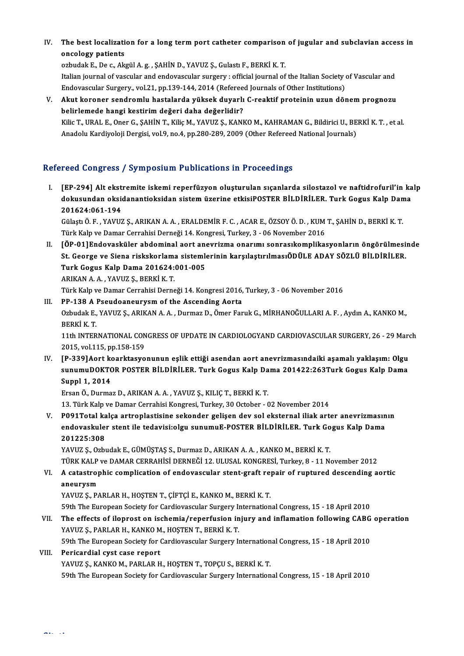IV. The best localization for a long term port catheter comparison of jugular and subclavian access in<br>encolegy patients The best localizati<br>oncology patients The best localization for a long term port catheter comparison<br>oncology patients<br>ozbudak E., De c., Akgül A.g. , ŞAHİN D., YAVUZ Ş., Gulastı F., BERKİ K. T.<br>Italian journal of vacaylar and andevessular surgery yefficial jo

oncology patients<br>ozbudak E., De c., Akgül A. g. , ŞAHİN D., YAVUZ Ş., Gulastı F., BERKİ K. T.<br>Italian journal of vascular and endovascular surgery : official journal of the Italian Society of Vascular and<br>Endovascular Sur ozbudak E., De c., Akgül A. g. , ŞAHİN D., YAVUZ Ş., Gulastı F., BERKİ K. T.<br>Italian journal of vascular and endovascular surgery : official journal of the Italian Society (<br>Endovascular Surgery., vol.21, pp.139-144, 2014 Italian journal of vascular and endovascular surgery : official journal of the Italian Society of Vascular and<br>Endovascular Surgery., vol.21, pp.139-144, 2014 (Refereed Journals of Other Institutions)<br>V. Akut koroner sendr

Endovascular Surgery., vol.21, pp.139-144, 2014 (Refereed Journals of Other Institutions)<br>Akut koroner sendromlu hastalarda yüksek duyarlı C-reaktif proteinin uzun dönem prognozu<br>belirlemede hangi kestirim değeri daha değe Akut koroner sendromlu hastalarda yüksek duyarlı C-reaktif proteinin uzun dönem prognozu<br>belirlemede hangi kestirim değeri daha değerlidir?<br>Kilic T., URAL E., Oner G., ŞAHİN T., Kiliç M., YAVUZ Ş., KANKO M., KAHRAMAN G., B Anadolu Kardiyoloji Dergisi, vol.9, no.4, pp.280-289, 2009 (Other Refereed National Journals)

## Refereed Congress / Symposium Publications in Proceedings

I. [EP-294] Alt ekstremite iskemi reperfüzyon oluşturulan sıçanlarda silostazol ve naftidrofuril'in kalp roca dongross 7 symposiam i asiloations in i rococamgs<br>[EP-294] Alt ekstremite iskemi reperfüzyon oluşturulan sıçanlarda silostazol ve naftidrofuril'in ka<br>dokusundan oksidanantioksidan sistem üzerine etkisiPOSTER BİLDİRİLE EP-294] Alt ekst<br>dokusundan oksi<br>201624:061-194<br>Gülest Ö.E. YAVUZ dokusundan oksidanantioksidan sistem üzerine etkisiPOSTER BİLDİRİLER. Turk Gogus Kalp Dan<br>201624:061-194<br>Gülaştı Ö. F. , YAVUZ Ş., ARIKAN A. A. , ERALDEMİR F. C. , ACAR E., ÖZSOY Ö. D. , KUM T., ŞAHİN D., BERKİ K. T<br>Türk K

201624:061-194<br>Gülaştı Ö. F. , YAVUZ Ş., ARIKAN A. A. , ERALDEMİR F. C. , ACAR E., ÖZSOY Ö. D. , KUM<br>Türk Kalp ve Damar Cerrahisi Derneği 14. Kongresi, Turkey, 3 - 06 November 2016<br>LÖR 011Endovesküler abdeminal sert enevri Türk Kalp ve Damar Cerrahisi Derneği 14. Kongresi, Turkey, 3 - 06 November 2016<br>II. [ÖP-01]Endovasküler abdominal aort anevrizma onarımı sonrasıkomplikasyonların öngörülmesinde

Türk Kalp ve Damar Cerrahisi Derneği 14. Kongresi, Turkey, 3 - 06 November 2016<br>[ÖP-01]Endovasküler abdominal aort anevrizma onarımı sonrasıkomplikasyonların öngörülmesi<br>St. George ve Siena riskskorlama sistemlerinin karşı [ÖP-01]Endovasküler abdominal aort an<br>St. George ve Siena riskskorlama sistemle<br>Turk Gogus Kalp Dama 201624:001-005<br>ABIKAN A A - VAVUZ S- BERKI K-T St. George ve Siena riskskorlam<mark>.</mark><br>Turk Gogus Kalp Dama 201624:<br>ARIKAN A.A., YAVUZ Ş., BERKİ K. T.<br>Türk Kalp ve Damar Carrabisi Darna Turk Gogus Kalp Dama 201624:001-005<br>ARIKAN A. A. , YAVUZ Ş., BERKİ K. T.<br>Türk Kalp ve Damar Cerrahisi Derneği 14. Kongresi 2016, Turkey, 3 - 06 November 2016

ARIKAN A. A. , YAVUZ Ş., BERKİ K. T.<br>Türk Kalp ve Damar Cerrahisi Derneği 14. Kongresi 2016,<br>III. PP-138 A Pseudoaneurysm of the Ascending Aorta<br>Orbudak E. YAVUZ S. ABIKAN A. A. Durmar D. Ömer Fer Ozbudak E., YAVUZ Ş., ARIKAN A. A. , Durmaz D., Ömer Faruk G., MİRHANOĞULLARI A. F. , Aydın A., KANKO M.,<br>BERKİ K. T. PP-138 A I<br>Ozbudak E.,<br>BERKİ K. T.<br>11th INTEP Ozbudak E., YAVUZ Ş., ARIKAN A. A. , Durmaz D., Ömer Faruk G., MİRHANOĞULLARI A. F. , Aydın A., KANKO M.,<br>BERKİ K. T.<br>11th INTERNATIONAL CONGRESS OF UPDATE IN CARDIOLOGYAND CARDIOVASCULAR SURGERY, 26 - 29 March<br>2015. val11

BERKİ K. T.<br>11th INTERNATIONAL CON<br>2015, vol.115, pp.158-159<br>EP. 2291Aert keerktesye 11th INTERNATIONAL CONGRESS OF UPDATE IN CARDIOLOGYAND CARDIOVASCULAR SURGERY, 26 - 29 Marc<br>2015, vol.115, pp.158-159<br>IV. [P-339]Aort koarktasyonunun eşlik ettiği asendan aort anevrizmasındaiki aşamalı yaklaşım: Olgu<br>2011-

2015, vol.115, pp.158-159<br>[P-339]Aort koarktasyonunun eşlik ettiği asendan aort anevrizmasındaiki aşamalı yaklaşım: Olgu<br>sunumuDOKTOR POSTER BİLDİRİLER. Turk Gogus Kalp Dama 201422:263Turk Gogus Kalp Dama<br>Sunnl 1, 2014 [P-339]Aort ko<br>sunumuDOKTC<br>Suppl 1, 2014<br>Ersen Ö. Durma sunumuDOKTOR POSTER BİLDİRİLER. Turk Gogus Kalp Da<br>Suppl 1, 2014<br>Ersan Ö., Durmaz D., ARIKAN A. A. , YAVUZ Ş., KILIÇ T., BERKİ K. T.<br>12. Türk Kalp ve Damar Carrabisi Kangrasi Turkay 20 Ostabar. (

11, 2014<br>13. Türk Kalp ve Damar Cerrahisi Kongresi, Kılılç T., BERKİ K. T.<br>13. Türk Kalp ve Damar Cerrahisi Kongresi, Turkey, 30 October - 02 November 2014

V. P091Total kalça artroplastisine sekonder gelişen dev sol eksternal iliak arter anevrizmasının 13. Türk Kalp ve Damar Cerrahisi Kongresi, Turkey, 30 October - 02 November 2014<br>P091Total kalça artroplastisine sekonder gelişen dev sol eksternal iliak arter anevrizmasın<br>endovaskuler stent ile tedavisi:olgu sunumuE-POST P091Total ka<br>endovaskule<br>201225:308<br>vAVUZS Orb endovaskuler stent ile tedavisi:olgu sunumuE-POSTER BİLDİRİLER. Turk Go<br>201225:308<br>YAVUZ Ş., Ozbudak E., GÜMÜŞTAŞ S., Durmaz D., ARIKAN A. A. , KANKO M., BERKİ K. T.<br>TÜRK KALB V.Q DAMAR CERRAHİSİ DERNEĞİ 12 JU USAL KONCRES

201225:308<br>YAVUZ Ş., Ozbudak E., GÜMÜŞTAŞ S., Durmaz D., ARIKAN A. A. , KANKO M., BERKİ K. T.<br>TÜRK KALP ve DAMAR CERRAHİSİ DERNEĞİ 12. ULUSAL KONGRESİ, Turkey, 8 - 11 November 2012 YAVUZ Ş., Ozbudak E., GÜMÜŞTAŞ S., Durmaz D., ARIKAN A. A. , KANKO M., BERKİ K. T.<br>TÜRK KALP ve DAMAR CERRAHİSİ DERNEĞİ 12. ULUSAL KONGRESİ, Turkey, 8 - 11 November 2012<br>VI. A catastrophic complication of endovascular

# TÜRK KALP<br>A catastrop<br>aneurysm<br><sup>VAVUI7 S - P/</sup> A catastrophic complication of endovascular stent-graft re<mark>g</mark><br>aneurysm<br>YAVUZ Ş., PARLAR H., HOŞTEN T., ÇİFTÇİ E., KANKO M., BERKİ K. T.<br>50th The European Society for Cardiouscular Surgery Internation aneurysm<br>YAVUZ Ș., PARLAR H., HOȘTEN T., ÇİFTÇİ E., KANKO M., BERKİ K. T.<br>59th The European Society for Cardiovascular Surgery International Congress, 15 - 18 April 2010<br>The effects of ilengest en ischemie (reperfusion ini

## YAVUZ Ş., PARLAR H., HOŞTEN T., ÇİFTÇİ E., KANKO M., BERKİ K. T.<br>59th The European Society for Cardiovascular Surgery International Congress, 15 - 18 April 2010<br>VII. The effects of iloprost on ischemia/reperfusion inju 59th The European Society for Cardiovascular Surgery I<br>The effects of iloprost on ischemia/reperfusion in<br>YAVUZ Ş., PARLAR H., KANKO M., HOŞTEN T., BERKİ K. T.<br>50th The European Society for Cardiovascular Surgery I. The effects of iloprost on ischemia/reperfusion injury and inflamation following CABG<br>YAVUZ Ş., PARLAR H., KANKO M., HOŞTEN T., BERKİ K. T.<br>59th The European Society for Cardiovascular Surgery International Congress, 15 - YAVUZ Ş., PARLAR H., KANKO M<br>59th The European Society for (<br>VIII. Pericardial cyst case report<br>VAVUZ S. KANKO M. BABLAR U

59th The European Society for Cardiovascular Surgery Internation<br>Pericardial cyst case report<br>YAVUZ Ş., KANKO M., PARLAR H., HOŞTEN T., TOPÇU S., BERKİ K. T.<br>50th The European Society for Cardiovascular Surgery Internation

Pericardial cyst case report<br>TAVUZ Ş., KANKO M., PARLAR H., HOŞTEN T., TOPÇU S., BERKİ K. T.<br>59th The European Society for Cardiovascular Surgery International Congress, 15 - 18 April 2010